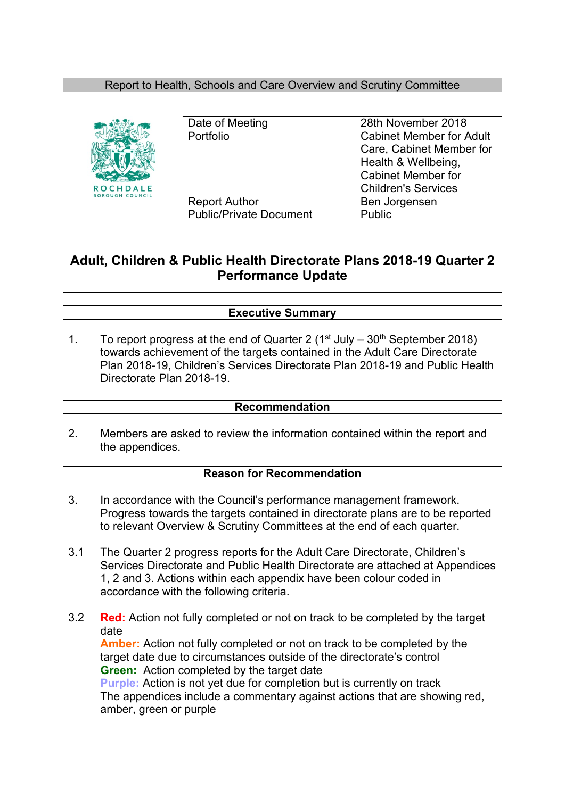# Report to Health, Schools and Care Overview and Scrutiny Committee



| Date of Meeting                | 28th November 2018              |
|--------------------------------|---------------------------------|
| Portfolio                      | <b>Cabinet Member for Adult</b> |
|                                | Care, Cabinet Member for        |
|                                | Health & Wellbeing,             |
|                                | <b>Cabinet Member for</b>       |
|                                | <b>Children's Services</b>      |
| <b>Report Author</b>           | Ben Jorgensen                   |
| <b>Public/Private Document</b> | <b>Public</b>                   |
|                                |                                 |

# **Adult, Children & Public Health Directorate Plans 2018-19 Quarter 2 Performance Update**

# **Executive Summary**

1. To report progress at the end of Quarter 2 ( $1<sup>st</sup>$  July –  $30<sup>th</sup>$  September 2018) towards achievement of the targets contained in the Adult Care Directorate Plan 2018-19, Children's Services Directorate Plan 2018-19 and Public Health Directorate Plan 2018-19.

### **Recommendation**

2. Members are asked to review the information contained within the report and the appendices.

### **Reason for Recommendation**

- 3. In accordance with the Council's performance management framework. Progress towards the targets contained in directorate plans are to be reported to relevant Overview & Scrutiny Committees at the end of each quarter.
- 3.1 The Quarter 2 progress reports for the Adult Care Directorate, Children's Services Directorate and Public Health Directorate are attached at Appendices 1, 2 and 3. Actions within each appendix have been colour coded in accordance with the following criteria.
- 3.2 **Red:** Action not fully completed or not on track to be completed by the target date **Amber:** Action not fully completed or not on track to be completed by the target date due to circumstances outside of the directorate's control **Green:** Action completed by the target date **Purple:** Action is not yet due for completion but is currently on track The appendices include a commentary against actions that are showing red, amber, green or purple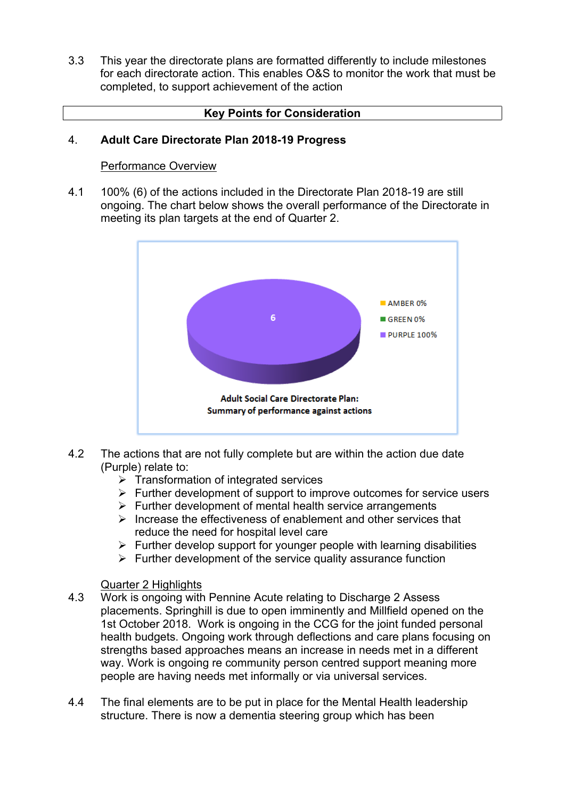3.3 This year the directorate plans are formatted differently to include milestones for each directorate action. This enables O&S to monitor the work that must be completed, to support achievement of the action

## **Key Points for Consideration**

#### 4. **Adult Care Directorate Plan 2018-19 Progress**

### Performance Overview

4.1 100% (6) of the actions included in the Directorate Plan 2018-19 are still ongoing. The chart below shows the overall performance of the Directorate in meeting its plan targets at the end of Quarter 2.



- 4.2 The actions that are not fully complete but are within the action due date (Purple) relate to:
	- $\triangleright$  Transformation of integrated services
	- $\triangleright$  Further development of support to improve outcomes for service users
	- $\triangleright$  Further development of mental health service arrangements
	- $\triangleright$  Increase the effectiveness of enablement and other services that reduce the need for hospital level care
	- $\triangleright$  Further develop support for younger people with learning disabilities
	- $\triangleright$  Further development of the service quality assurance function

### Quarter 2 Highlights

- 4.3 Work is ongoing with Pennine Acute relating to Discharge 2 Assess placements. Springhill is due to open imminently and Millfield opened on the 1st October 2018. Work is ongoing in the CCG for the joint funded personal health budgets. Ongoing work through deflections and care plans focusing on strengths based approaches means an increase in needs met in a different way. Work is ongoing re community person centred support meaning more people are having needs met informally or via universal services.
- 4.4 The final elements are to be put in place for the Mental Health leadership structure. There is now a dementia steering group which has been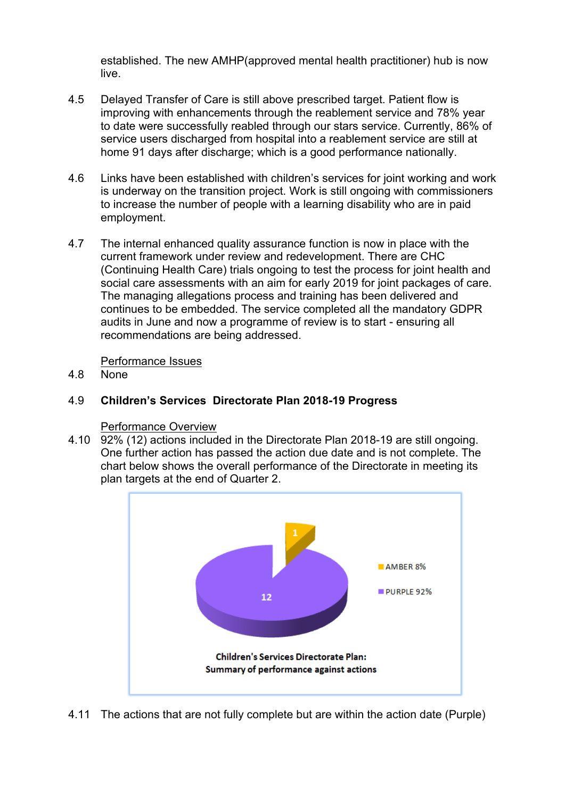established. The new AMHP(approved mental health practitioner) hub is now live.

- 4.5 Delayed Transfer of Care is still above prescribed target. Patient flow is improving with enhancements through the reablement service and 78% year to date were successfully reabled through our stars service. Currently, 86% of service users discharged from hospital into a reablement service are still at home 91 days after discharge; which is a good performance nationally.
- 4.6 Links have been established with children's services for joint working and work is underway on the transition project. Work is still ongoing with commissioners to increase the number of people with a learning disability who are in paid employment.
- 4.7 The internal enhanced quality assurance function is now in place with the current framework under review and redevelopment. There are CHC (Continuing Health Care) trials ongoing to test the process for joint health and social care assessments with an aim for early 2019 for joint packages of care. The managing allegations process and training has been delivered and continues to be embedded. The service completed all the mandatory GDPR audits in June and now a programme of review is to start - ensuring all recommendations are being addressed.

Performance Issues

4.8 None

#### 4.9 **Children's Services Directorate Plan 2018-19 Progress**

# Performance Overview

4.10 92% (12) actions included in the Directorate Plan 2018-19 are still ongoing. One further action has passed the action due date and is not complete. The chart below shows the overall performance of the Directorate in meeting its plan targets at the end of Quarter 2.



4.11 The actions that are not fully complete but are within the action date (Purple)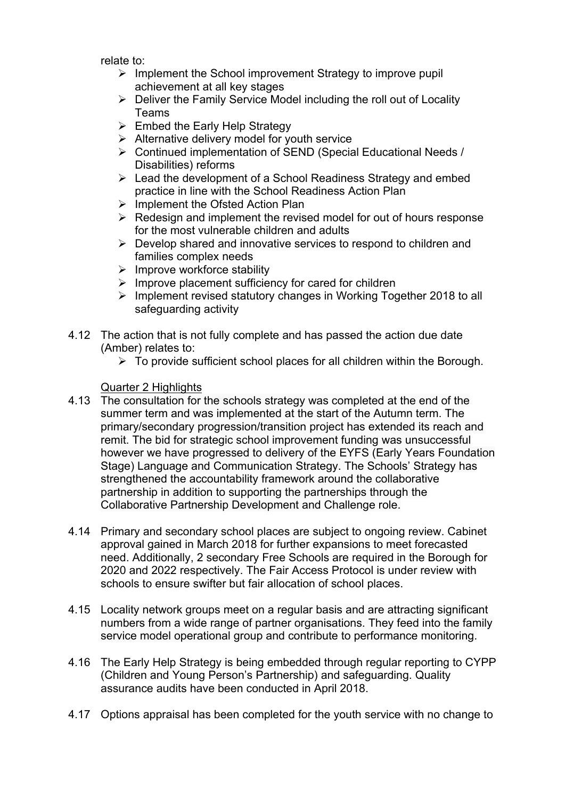relate to:

- $\triangleright$  Implement the School improvement Strategy to improve pupil achievement at all key stages
- $\triangleright$  Deliver the Family Service Model including the roll out of Locality Teams
- $\triangleright$  Embed the Early Help Strategy
- $\triangleright$  Alternative delivery model for youth service
- Continued implementation of SEND (Special Educational Needs / Disabilities) reforms
- $\triangleright$  Lead the development of a School Readiness Strategy and embed practice in line with the School Readiness Action Plan
- $\triangleright$  Implement the Ofsted Action Plan
- $\triangleright$  Redesign and implement the revised model for out of hours response for the most vulnerable children and adults
- $\triangleright$  Develop shared and innovative services to respond to children and families complex needs
- $\triangleright$  Improve workforce stability
- $\triangleright$  Improve placement sufficiency for cared for children
- $\triangleright$  Implement revised statutory changes in Working Together 2018 to all safeguarding activity
- 4.12 The action that is not fully complete and has passed the action due date (Amber) relates to:
	- $\triangleright$  To provide sufficient school places for all children within the Borough.

Quarter 2 Highlights

- 4.13 The consultation for the schools strategy was completed at the end of the summer term and was implemented at the start of the Autumn term. The primary/secondary progression/transition project has extended its reach and remit. The bid for strategic school improvement funding was unsuccessful however we have progressed to delivery of the EYFS (Early Years Foundation Stage) Language and Communication Strategy. The Schools' Strategy has strengthened the accountability framework around the collaborative partnership in addition to supporting the partnerships through the Collaborative Partnership Development and Challenge role.
- 4.14 Primary and secondary school places are subject to ongoing review. Cabinet approval gained in March 2018 for further expansions to meet forecasted need. Additionally, 2 secondary Free Schools are required in the Borough for 2020 and 2022 respectively. The Fair Access Protocol is under review with schools to ensure swifter but fair allocation of school places.
- 4.15 Locality network groups meet on a regular basis and are attracting significant numbers from a wide range of partner organisations. They feed into the family service model operational group and contribute to performance monitoring.
- 4.16 The Early Help Strategy is being embedded through regular reporting to CYPP (Children and Young Person's Partnership) and safeguarding. Quality assurance audits have been conducted in April 2018.
- 4.17 Options appraisal has been completed for the youth service with no change to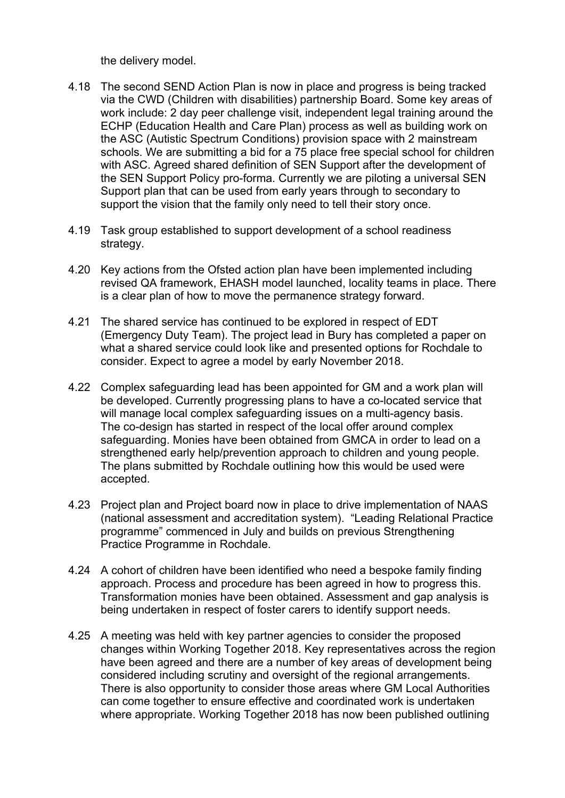the delivery model.

- 4.18 The second SEND Action Plan is now in place and progress is being tracked via the CWD (Children with disabilities) partnership Board. Some key areas of work include: 2 day peer challenge visit, independent legal training around the ECHP (Education Health and Care Plan) process as well as building work on the ASC (Autistic Spectrum Conditions) provision space with 2 mainstream schools. We are submitting a bid for a 75 place free special school for children with ASC. Agreed shared definition of SEN Support after the development of the SEN Support Policy pro-forma. Currently we are piloting a universal SEN Support plan that can be used from early years through to secondary to support the vision that the family only need to tell their story once.
- 4.19 Task group established to support development of a school readiness strategy.
- 4.20 Key actions from the Ofsted action plan have been implemented including revised QA framework, EHASH model launched, locality teams in place. There is a clear plan of how to move the permanence strategy forward.
- 4.21 The shared service has continued to be explored in respect of EDT (Emergency Duty Team). The project lead in Bury has completed a paper on what a shared service could look like and presented options for Rochdale to consider. Expect to agree a model by early November 2018.
- 4.22 Complex safeguarding lead has been appointed for GM and a work plan will be developed. Currently progressing plans to have a co-located service that will manage local complex safeguarding issues on a multi-agency basis. The co-design has started in respect of the local offer around complex safeguarding. Monies have been obtained from GMCA in order to lead on a strengthened early help/prevention approach to children and young people. The plans submitted by Rochdale outlining how this would be used were accepted.
- 4.23 Project plan and Project board now in place to drive implementation of NAAS (national assessment and accreditation system). "Leading Relational Practice programme" commenced in July and builds on previous Strengthening Practice Programme in Rochdale.
- 4.24 A cohort of children have been identified who need a bespoke family finding approach. Process and procedure has been agreed in how to progress this. Transformation monies have been obtained. Assessment and gap analysis is being undertaken in respect of foster carers to identify support needs.
- 4.25 A meeting was held with key partner agencies to consider the proposed changes within Working Together 2018. Key representatives across the region have been agreed and there are a number of key areas of development being considered including scrutiny and oversight of the regional arrangements. There is also opportunity to consider those areas where GM Local Authorities can come together to ensure effective and coordinated work is undertaken where appropriate. Working Together 2018 has now been published outlining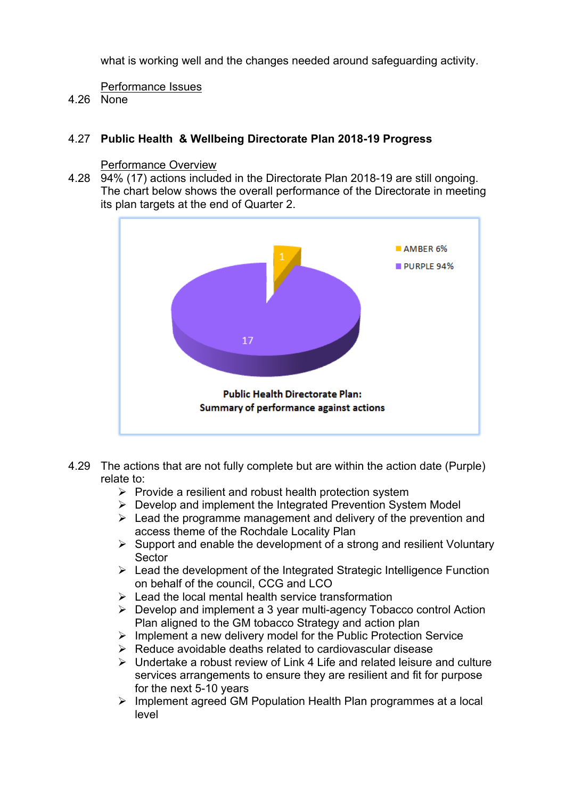what is working well and the changes needed around safeguarding activity.

Performance Issues

4.26 None

# 4.27 **Public Health & Wellbeing Directorate Plan 2018-19 Progress**

# Performance Overview

4.28 94% (17) actions included in the Directorate Plan 2018-19 are still ongoing. The chart below shows the overall performance of the Directorate in meeting its plan targets at the end of Quarter 2.



- 4.29 The actions that are not fully complete but are within the action date (Purple) relate to:
	- $\triangleright$  Provide a resilient and robust health protection system
	- $\triangleright$  Develop and implement the Integrated Prevention System Model
	- $\triangleright$  Lead the programme management and delivery of the prevention and access theme of the Rochdale Locality Plan
	- $\triangleright$  Support and enable the development of a strong and resilient Voluntary **Sector**
	- $\triangleright$  Lead the development of the Integrated Strategic Intelligence Function on behalf of the council, CCG and LCO
	- $\geq$  Lead the local mental health service transformation
	- $\triangleright$  Develop and implement a 3 year multi-agency Tobacco control Action Plan aligned to the GM tobacco Strategy and action plan
	- $\triangleright$  Implement a new delivery model for the Public Protection Service
	- $\triangleright$  Reduce avoidable deaths related to cardiovascular disease
	- $\triangleright$  Undertake a robust review of Link 4 Life and related leisure and culture services arrangements to ensure they are resilient and fit for purpose for the next 5-10 years
	- $\triangleright$  Implement agreed GM Population Health Plan programmes at a local level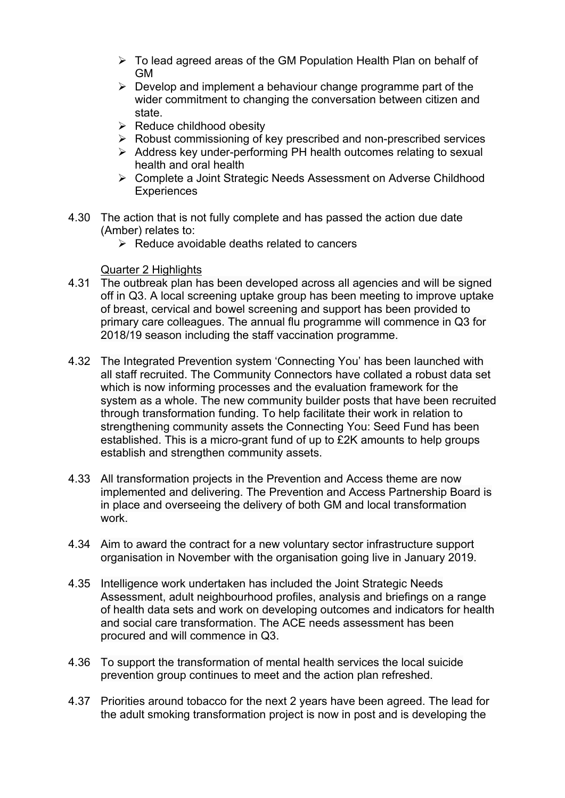- $\triangleright$  To lead agreed areas of the GM Population Health Plan on behalf of GM
- $\triangleright$  Develop and implement a behaviour change programme part of the wider commitment to changing the conversation between citizen and state.
- $\triangleright$  Reduce childhood obesity
- $\triangleright$  Robust commissioning of key prescribed and non-prescribed services
- $\triangleright$  Address key under-performing PH health outcomes relating to sexual health and oral health
- Complete a Joint Strategic Needs Assessment on Adverse Childhood **Experiences**
- 4.30 The action that is not fully complete and has passed the action due date (Amber) relates to:
	- $\triangleright$  Reduce avoidable deaths related to cancers

Quarter 2 Highlights

- 4.31 The outbreak plan has been developed across all agencies and will be signed off in Q3. A local screening uptake group has been meeting to improve uptake of breast, cervical and bowel screening and support has been provided to primary care colleagues. The annual flu programme will commence in Q3 for 2018/19 season including the staff vaccination programme.
- 4.32 The Integrated Prevention system 'Connecting You' has been launched with all staff recruited. The Community Connectors have collated a robust data set which is now informing processes and the evaluation framework for the system as a whole. The new community builder posts that have been recruited through transformation funding. To help facilitate their work in relation to strengthening community assets the Connecting You: Seed Fund has been established. This is a micro-grant fund of up to £2K amounts to help groups establish and strengthen community assets.
- 4.33 All transformation projects in the Prevention and Access theme are now implemented and delivering. The Prevention and Access Partnership Board is in place and overseeing the delivery of both GM and local transformation work.
- 4.34 Aim to award the contract for a new voluntary sector infrastructure support organisation in November with the organisation going live in January 2019.
- 4.35 Intelligence work undertaken has included the Joint Strategic Needs Assessment, adult neighbourhood profiles, analysis and briefings on a range of health data sets and work on developing outcomes and indicators for health and social care transformation. The ACE needs assessment has been procured and will commence in Q3.
- 4.36 To support the transformation of mental health services the local suicide prevention group continues to meet and the action plan refreshed.
- 4.37 Priorities around tobacco for the next 2 years have been agreed. The lead for the adult smoking transformation project is now in post and is developing the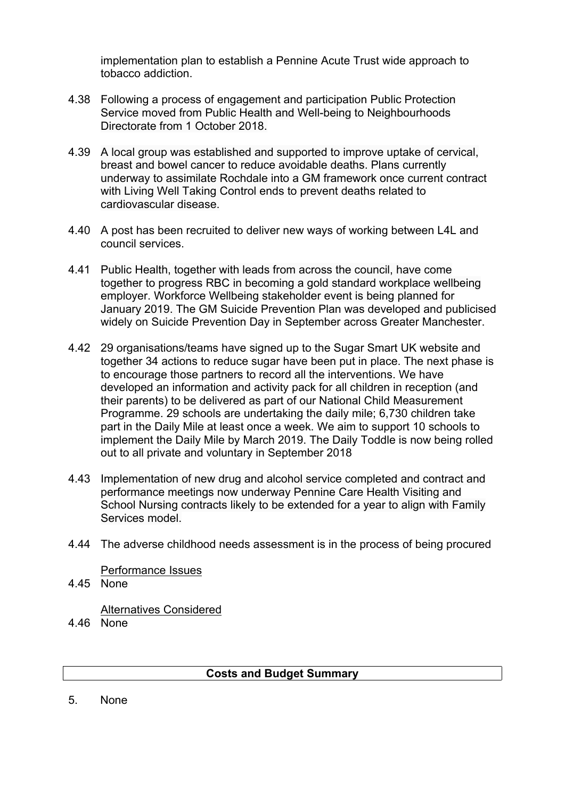implementation plan to establish a Pennine Acute Trust wide approach to tobacco addiction.

- 4.38 Following a process of engagement and participation Public Protection Service moved from Public Health and Well-being to Neighbourhoods Directorate from 1 October 2018.
- 4.39 A local group was established and supported to improve uptake of cervical, breast and bowel cancer to reduce avoidable deaths. Plans currently underway to assimilate Rochdale into a GM framework once current contract with Living Well Taking Control ends to prevent deaths related to cardiovascular disease.
- 4.40 A post has been recruited to deliver new ways of working between L4L and council services.
- 4.41 Public Health, together with leads from across the council, have come together to progress RBC in becoming a gold standard workplace wellbeing employer. Workforce Wellbeing stakeholder event is being planned for January 2019. The GM Suicide Prevention Plan was developed and publicised widely on Suicide Prevention Day in September across Greater Manchester.
- 4.42 29 organisations/teams have signed up to the Sugar Smart UK website and together 34 actions to reduce sugar have been put in place. The next phase is to encourage those partners to record all the interventions. We have developed an information and activity pack for all children in reception (and their parents) to be delivered as part of our National Child Measurement Programme. 29 schools are undertaking the daily mile; 6,730 children take part in the Daily Mile at least once a week. We aim to support 10 schools to implement the Daily Mile by March 2019. The Daily Toddle is now being rolled out to all private and voluntary in September 2018
- 4.43 Implementation of new drug and alcohol service completed and contract and performance meetings now underway Pennine Care Health Visiting and School Nursing contracts likely to be extended for a year to align with Family Services model.
- 4.44 The adverse childhood needs assessment is in the process of being procured

Performance Issues

4.45 None

Alternatives Considered

4.46 None

# **Costs and Budget Summary**

5. None